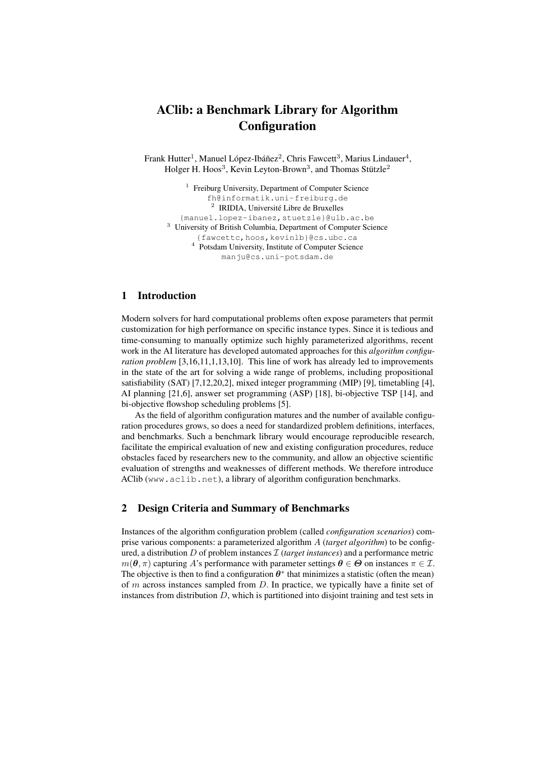# AClib: a Benchmark Library for Algorithm **Configuration**

Frank Hutter<sup>1</sup>, Manuel López-Ibáñez<sup>2</sup>, Chris Fawcett<sup>3</sup>, Marius Lindauer<sup>4</sup>, Holger H. Hoos<sup>3</sup>, Kevin Leyton-Brown<sup>3</sup>, and Thomas Stützle<sup>2</sup>

<sup>1</sup> Freiburg University, Department of Computer Science fh@informatik.uni-freiburg.de <sup>2</sup> IRIDIA, Université Libre de Bruxelles {manuel.lopez-ibanez,stuetzle}@ulb.ac.be <sup>3</sup> University of British Columbia, Department of Computer Science {fawcettc,hoos,kevinlb}@cs.ubc.ca 4 Potsdam University, Institute of Computer Science manju@cs.uni-potsdam.de

# 1 Introduction

Modern solvers for hard computational problems often expose parameters that permit customization for high performance on specific instance types. Since it is tedious and time-consuming to manually optimize such highly parameterized algorithms, recent work in the AI literature has developed automated approaches for this *algorithm configuration problem* [3,16,11,1,13,10]. This line of work has already led to improvements in the state of the art for solving a wide range of problems, including propositional satisfiability (SAT) [7,12,20,2], mixed integer programming (MIP) [9], timetabling [4], AI planning [21,6], answer set programming (ASP) [18], bi-objective TSP [14], and bi-objective flowshop scheduling problems [5].

As the field of algorithm configuration matures and the number of available configuration procedures grows, so does a need for standardized problem definitions, interfaces, and benchmarks. Such a benchmark library would encourage reproducible research, facilitate the empirical evaluation of new and existing configuration procedures, reduce obstacles faced by researchers new to the community, and allow an objective scientific evaluation of strengths and weaknesses of different methods. We therefore introduce AClib (www.aclib.net), a library of algorithm configuration benchmarks.

# 2 Design Criteria and Summary of Benchmarks

Instances of the algorithm configuration problem (called *configuration scenarios*) comprise various components: a parameterized algorithm A (*target algorithm*) to be configured, a distribution D of problem instances I (*target instances*) and a performance metric  $m(\theta, \pi)$  capturing A's performance with parameter settings  $\theta \in \Theta$  on instances  $\pi \in \mathcal{I}$ . The objective is then to find a configuration  $\theta^*$  that minimizes a statistic (often the mean) of  $m$  across instances sampled from  $D$ . In practice, we typically have a finite set of instances from distribution  $D$ , which is partitioned into disjoint training and test sets in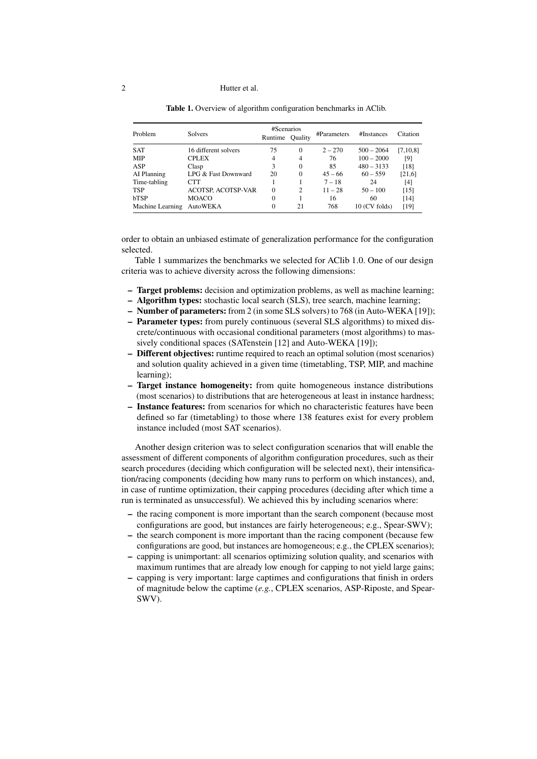| Problem          | <b>Solvers</b>       | #Scenarios<br>Runtime Quality |              | #Parameters | #Instances      | <b>Citation</b> |
|------------------|----------------------|-------------------------------|--------------|-------------|-----------------|-----------------|
| <b>SAT</b>       | 16 different solvers | 75                            | $\Omega$     | $2 - 270$   | $500 - 2064$    | [7, 10, 8]      |
| <b>MIP</b>       | <b>CPLEX</b>         | 4                             | 4            | 76          | $100 - 2000$    | [9]             |
| ASP              | Clasp                | 3                             | $\mathbf{0}$ | 85          | $480 - 3133$    | [18]            |
| AI Planning      | LPG & Fast Downward  | 20                            | $\Omega$     | $45 - 66$   | $60 - 559$      | [21,6]          |
| Time-tabling     | <b>CTT</b>           |                               |              | $7 - 18$    | 24              | [4]             |
| <b>TSP</b>       | ACOTSP, ACOTSP-VAR   | $\Omega$                      | 2            | $11 - 28$   | $50 - 100$      | [15]            |
| bTSP             | MOACO                | $\Omega$                      |              | 16          | 60              | [14]            |
| Machine Learning | AutoWEKA             | 0                             | 21           | 768         | $10$ (CV folds) | [19]            |

Table 1. Overview of algorithm configuration benchmarks in AClib.

order to obtain an unbiased estimate of generalization performance for the configuration selected.

Table 1 summarizes the benchmarks we selected for AClib 1.0. One of our design criteria was to achieve diversity across the following dimensions:

- Target problems: decision and optimization problems, as well as machine learning;
- Algorithm types: stochastic local search (SLS), tree search, machine learning;
- Number of parameters: from 2 (in some SLS solvers) to 768 (in Auto-WEKA [19]);
- Parameter types: from purely continuous (several SLS algorithms) to mixed discrete/continuous with occasional conditional parameters (most algorithms) to massively conditional spaces (SATenstein [12] and Auto-WEKA [19]);
- Different objectives: runtime required to reach an optimal solution (most scenarios) and solution quality achieved in a given time (timetabling, TSP, MIP, and machine learning);
- Target instance homogeneity: from quite homogeneous instance distributions (most scenarios) to distributions that are heterogeneous at least in instance hardness;
- Instance features: from scenarios for which no characteristic features have been defined so far (timetabling) to those where 138 features exist for every problem instance included (most SAT scenarios).

Another design criterion was to select configuration scenarios that will enable the assessment of different components of algorithm configuration procedures, such as their search procedures (deciding which configuration will be selected next), their intensification/racing components (deciding how many runs to perform on which instances), and, in case of runtime optimization, their capping procedures (deciding after which time a run is terminated as unsuccessful). We achieved this by including scenarios where:

- the racing component is more important than the search component (because most configurations are good, but instances are fairly heterogeneous; e.g., Spear-SWV);
- the search component is more important than the racing component (because few configurations are good, but instances are homogeneous; e.g., the CPLEX scenarios);
- capping is unimportant: all scenarios optimizing solution quality, and scenarios with maximum runtimes that are already low enough for capping to not yield large gains;
- capping is very important: large captimes and configurations that finish in orders of magnitude below the captime (*e.g.*, CPLEX scenarios, ASP-Riposte, and Spear-SWV).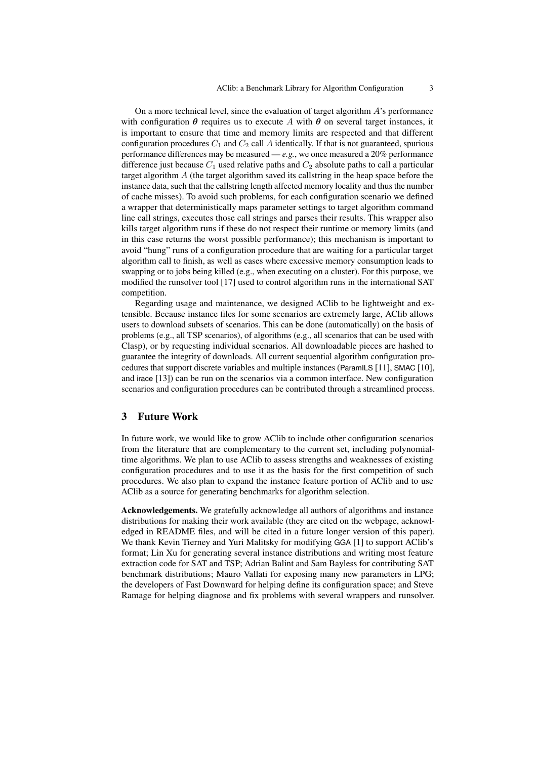On a more technical level, since the evaluation of target algorithm A's performance with configuration  $\theta$  requires us to execute A with  $\theta$  on several target instances, it is important to ensure that time and memory limits are respected and that different configuration procedures  $C_1$  and  $C_2$  call A identically. If that is not guaranteed, spurious performance differences may be measured — *e.g.*, we once measured a 20% performance difference just because  $C_1$  used relative paths and  $C_2$  absolute paths to call a particular target algorithm  $A$  (the target algorithm saved its callstring in the heap space before the instance data, such that the callstring length affected memory locality and thus the number of cache misses). To avoid such problems, for each configuration scenario we defined a wrapper that deterministically maps parameter settings to target algorithm command line call strings, executes those call strings and parses their results. This wrapper also kills target algorithm runs if these do not respect their runtime or memory limits (and in this case returns the worst possible performance); this mechanism is important to avoid "hung" runs of a configuration procedure that are waiting for a particular target algorithm call to finish, as well as cases where excessive memory consumption leads to swapping or to jobs being killed (e.g., when executing on a cluster). For this purpose, we modified the runsolver tool [17] used to control algorithm runs in the international SAT competition.

Regarding usage and maintenance, we designed AClib to be lightweight and extensible. Because instance files for some scenarios are extremely large, AClib allows users to download subsets of scenarios. This can be done (automatically) on the basis of problems (e.g., all TSP scenarios), of algorithms (e.g., all scenarios that can be used with Clasp), or by requesting individual scenarios. All downloadable pieces are hashed to guarantee the integrity of downloads. All current sequential algorithm configuration procedures that support discrete variables and multiple instances (ParamILS [11], SMAC [10], and irace [13]) can be run on the scenarios via a common interface. New configuration scenarios and configuration procedures can be contributed through a streamlined process.

### 3 Future Work

In future work, we would like to grow AClib to include other configuration scenarios from the literature that are complementary to the current set, including polynomialtime algorithms. We plan to use AClib to assess strengths and weaknesses of existing configuration procedures and to use it as the basis for the first competition of such procedures. We also plan to expand the instance feature portion of AClib and to use AClib as a source for generating benchmarks for algorithm selection.

Acknowledgements. We gratefully acknowledge all authors of algorithms and instance distributions for making their work available (they are cited on the webpage, acknowledged in README files, and will be cited in a future longer version of this paper). We thank Kevin Tierney and Yuri Malitsky for modifying GGA [1] to support AClib's format; Lin Xu for generating several instance distributions and writing most feature extraction code for SAT and TSP; Adrian Balint and Sam Bayless for contributing SAT benchmark distributions; Mauro Vallati for exposing many new parameters in LPG; the developers of Fast Downward for helping define its configuration space; and Steve Ramage for helping diagnose and fix problems with several wrappers and runsolver.